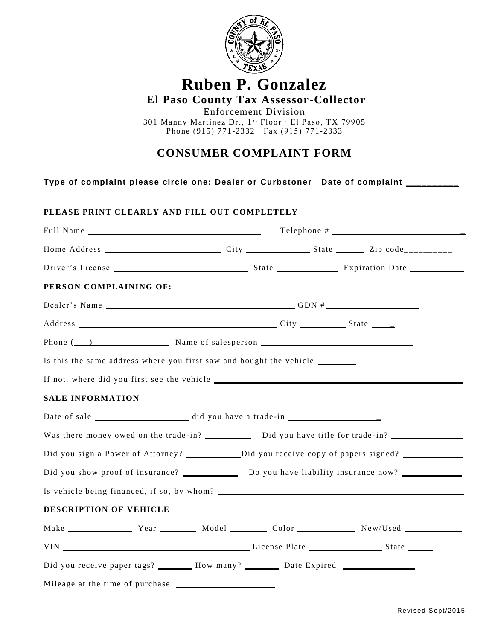

## **Ruben P. Gonzalez**

**El Paso County Tax Assessor-Collector**

Enforcement Division 301 Manny Martinez Dr., 1<sup>st</sup> Floor ∙ El Paso, TX 79905 Phone (915) 771-2332 ∙ Fax (915) 771-2333

## **CONSUMER COMPLAINT FORM**

**Type of complaint please circle one: Dealer or Curbstoner Date of complaint \_\_\_\_\_\_\_\_\_\_** 

## **PLEASE PRINT CLEARLY AND FILL OUT COMPLETELY**

| Home Address City City State Zip code                                                               |  |                     |  |  |
|-----------------------------------------------------------------------------------------------------|--|---------------------|--|--|
|                                                                                                     |  |                     |  |  |
| PERSON COMPLAINING OF:                                                                              |  |                     |  |  |
|                                                                                                     |  | Dealer's Name GDN # |  |  |
|                                                                                                     |  |                     |  |  |
|                                                                                                     |  |                     |  |  |
| Is this the same address where you first saw and bought the vehicle ____________                    |  |                     |  |  |
|                                                                                                     |  |                     |  |  |
| <b>SALE INFORMATION</b>                                                                             |  |                     |  |  |
|                                                                                                     |  |                     |  |  |
| Was there money owed on the trade-in? Did you have title for trade-in?                              |  |                     |  |  |
|                                                                                                     |  |                     |  |  |
| Did you show proof of insurance? ______________ Do you have liability insurance now? ______________ |  |                     |  |  |
|                                                                                                     |  |                     |  |  |
| DESCRIPTION OF VEHICLE                                                                              |  |                     |  |  |
| Make Year Model Color New/Used                                                                      |  |                     |  |  |
|                                                                                                     |  |                     |  |  |
| Did you receive paper tags? _______ How many? ________ Date Expired _____________                   |  |                     |  |  |
|                                                                                                     |  |                     |  |  |